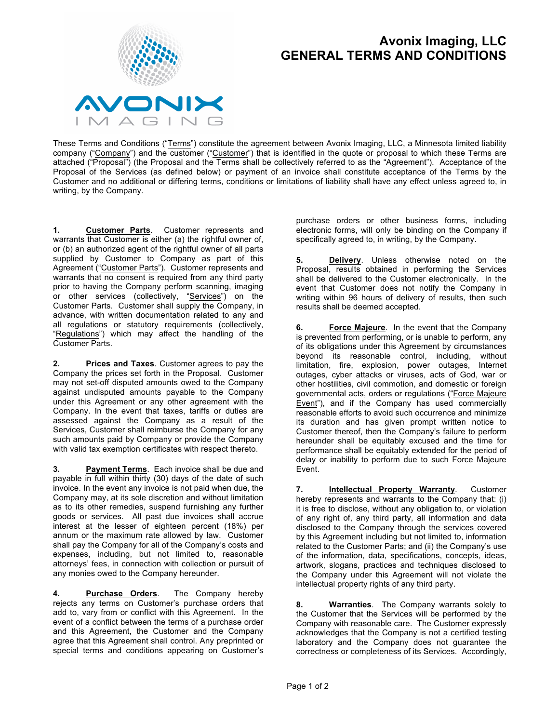

## **Avonix Imaging, LLC GENERAL TERMS AND CONDITIONS**

These Terms and Conditions ("Terms") constitute the agreement between Avonix Imaging, LLC, a Minnesota limited liability company ("Company") and the customer ("Customer") that is identified in the quote or proposal to which these Terms are attached ("Proposal") (the Proposal and the Terms shall be collectively referred to as the "Agreement"). Acceptance of the Proposal of the Services (as defined below) or payment of an invoice shall constitute acceptance of the Terms by the Customer and no additional or differing terms, conditions or limitations of liability shall have any effect unless agreed to, in writing, by the Company.

**1. Customer Parts**. Customer represents and warrants that Customer is either (a) the rightful owner of, or (b) an authorized agent of the rightful owner of all parts supplied by Customer to Company as part of this Agreement ("Customer Parts"). Customer represents and warrants that no consent is required from any third party prior to having the Company perform scanning, imaging or other services (collectively, "Services") on the Customer Parts. Customer shall supply the Company, in advance, with written documentation related to any and all regulations or statutory requirements (collectively, "Regulations") which may affect the handling of the Customer Parts.

**2. Prices and Taxes**. Customer agrees to pay the Company the prices set forth in the Proposal. Customer may not set-off disputed amounts owed to the Company against undisputed amounts payable to the Company under this Agreement or any other agreement with the Company. In the event that taxes, tariffs or duties are assessed against the Company as a result of the Services, Customer shall reimburse the Company for any such amounts paid by Company or provide the Company with valid tax exemption certificates with respect thereto.

**3. Payment Terms**.Each invoice shall be due and payable in full within thirty (30) days of the date of such invoice. In the event any invoice is not paid when due, the Company may, at its sole discretion and without limitation as to its other remedies, suspend furnishing any further goods or services. All past due invoices shall accrue interest at the lesser of eighteen percent (18%) per annum or the maximum rate allowed by law. Customer shall pay the Company for all of the Company's costs and expenses, including, but not limited to, reasonable attorneys' fees, in connection with collection or pursuit of any monies owed to the Company hereunder.

**4. Purchase Orders**. The Company hereby rejects any terms on Customer's purchase orders that add to, vary from or conflict with this Agreement. In the event of a conflict between the terms of a purchase order and this Agreement, the Customer and the Company agree that this Agreement shall control. Any preprinted or special terms and conditions appearing on Customer's purchase orders or other business forms, including electronic forms, will only be binding on the Company if specifically agreed to, in writing, by the Company.

**5. Delivery**. Unless otherwise noted on the Proposal, results obtained in performing the Services shall be delivered to the Customer electronically. In the event that Customer does not notify the Company in writing within 96 hours of delivery of results, then such results shall be deemed accepted.

**6. Force Majeure**. In the event that the Company is prevented from performing, or is unable to perform, any of its obligations under this Agreement by circumstances beyond its reasonable control, including, without limitation, fire, explosion, power outages, Internet outages, cyber attacks or viruses, acts of God, war or other hostilities, civil commotion, and domestic or foreign governmental acts, orders or regulations ("Force Majeure Event"), and if the Company has used commercially reasonable efforts to avoid such occurrence and minimize its duration and has given prompt written notice to Customer thereof, then the Company's failure to perform hereunder shall be equitably excused and the time for performance shall be equitably extended for the period of delay or inability to perform due to such Force Majeure Event.

**7. Intellectual Property Warranty**. Customer hereby represents and warrants to the Company that: (i) it is free to disclose, without any obligation to, or violation of any right of, any third party, all information and data disclosed to the Company through the services covered by this Agreement including but not limited to, information related to the Customer Parts; and (ii) the Company's use of the information, data, specifications, concepts, ideas, artwork, slogans, practices and techniques disclosed to the Company under this Agreement will not violate the intellectual property rights of any third party.

**8. Warranties**. The Company warrants solely to the Customer that the Services will be performed by the Company with reasonable care. The Customer expressly acknowledges that the Company is not a certified testing laboratory and the Company does not guarantee the correctness or completeness of its Services. Accordingly,